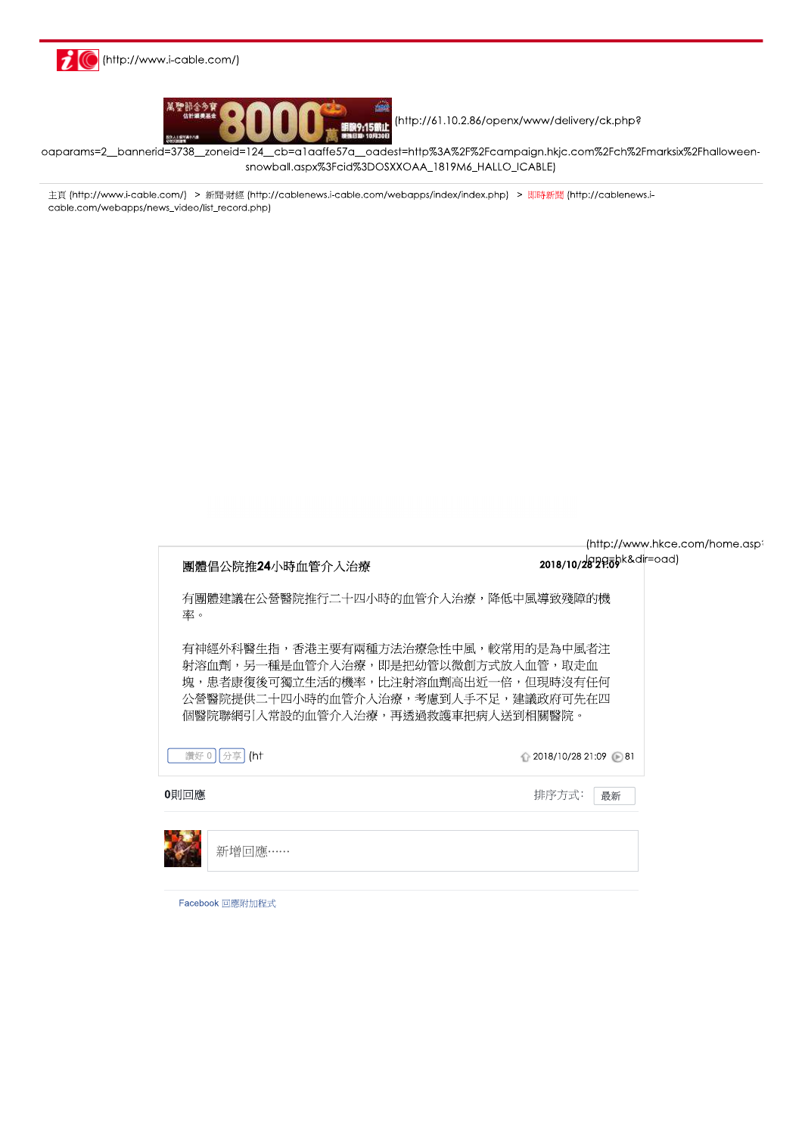



(http://61.10.2.86/openx/www/delivery/ck.php?

oaparams=2\_bannerid=3738\_zoneid=124\_cb=a1aaffe57a\_oadest=http%3A%2F%2Fcampaign.hkjc.com%2Fch%2Fmarksix%2Fhalloweensnowball.aspx%3Fcid%3DOSXXOAA\_1819M6\_HALLO\_ICABLE)

主頁 (http://www.i-cable.com/) > 新聞·財經 (http://cablenews.i-cable.com/webapps/index/index.php) > 即時新聞 (http://cablenews.icable.com/webapps/news\_video/list\_record.php)

| 團體倡公院推24小時血管介入治療  | (http://www.hkce.com/home.aspi<br>2018/10/2829.00 k&dir=oad)                                                                                                                                 |  |
|-------------------|----------------------------------------------------------------------------------------------------------------------------------------------------------------------------------------------|--|
| 率。                | 有團體建議在公營醫院推行二十四小時的血管介入治療,降低中風導致殘障的機                                                                                                                                                          |  |
|                   | 有神經外科醫生指,香港主要有兩種方法治療急性中風,較常用的是為中風者注<br>射溶血劑,另一種是血管介入治療,即是把幼管以微創方式放入血管,取走血<br>塊,患者康復後可獨立生活的機率,比注射溶血劑高出近一倍,但現時沒有任何<br>公營醫院提供二十四小時的血管介入治療,考慮到人手不足,建議政府可先在四<br>個醫院聯網引入常設的血管介入治療,再透過救護車把病人送到相關醫院。 |  |
| 讚好 0<br>分享<br>(ht | $\bigcirc$ 2018/10/28 21:09 31                                                                                                                                                               |  |
| 0則回應              | 排序方式:<br>最新                                                                                                                                                                                  |  |
| 新增回應……            |                                                                                                                                                                                              |  |
| Facebook 回應附加程式   |                                                                                                                                                                                              |  |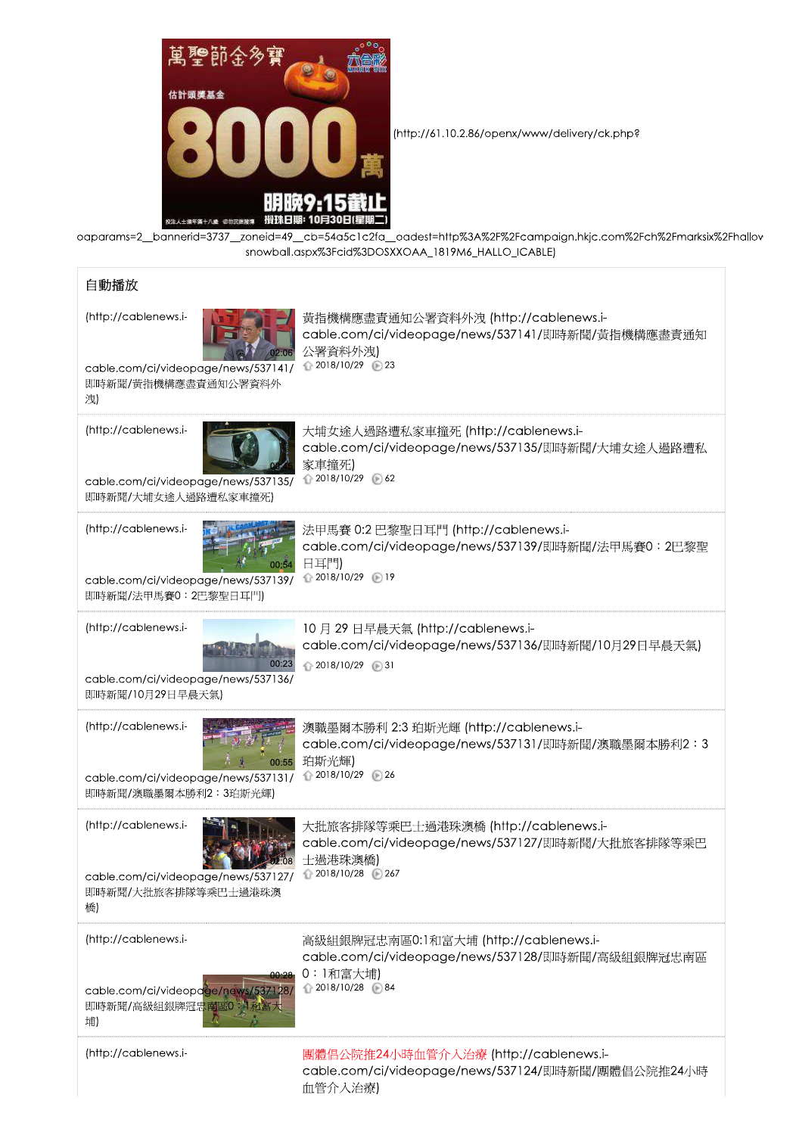

(http://61.10.2.86/openx/www/delivery/ck.php?

oaparams=2\_bannerid=3737\_zoneid=49\_cb=54a5c1c2fa\_oadest=http%3A%2F%2Fcampaign.hkjc.com%2Fch%2Fmarksix%2Fhallov snowball.aspx%3Fcid%3DOSXXOAA\_1819M6\_HALLO\_ICABLE)

| 自動播放                                                                                                    |                                                                                                                           |
|---------------------------------------------------------------------------------------------------------|---------------------------------------------------------------------------------------------------------------------------|
| (http://cablenews.i-<br>cable.com/ci/videopage/news/537141/<br>即時新聞/黃指機構應盡責通知公署資料外<br>洩                 | 黃指機構應盡責通知公署資料外洩 (http://cablenews.i-<br>cable.com/ci/videopage/news/537141/即時新聞/黃指機構應盡責通知<br>公署資料外洩)<br>↑ 2018/10/29 ▶ 23 |
| (http://cablenews.i-<br>cable.com/ci/videopage/news/537135/<br>即時新聞/大埔女途人過路遭私家車撞死)                      | 大埔女途人過路遭私家車撞死 (http://cablenews.i-<br>cable.com/ci/videopage/news/537135/即時新聞/大埔女途人過路遭私<br>家車撞死)<br>↑ 2018/10/29 (6) 62   |
| (http://cablenews.i-<br>cable.com/ci/videopage/news/537139/<br>即時新聞/法甲馬賽0:2巴黎聖日耳門)                      | 法甲馬賽 0:2 巴黎聖日耳門 (http://cablenews.i-<br>cable.com/ci/videopage/news/537139/即時新聞/法甲馬賽0:2巴黎聖<br>日耳門)<br>↑ 2018/10/29 ▶ 19   |
| (http://cablenews.i-<br>cable.com/ci/videopage/news/537136/<br>即時新聞/10月29日早晨天氣)                         | 10月29日早晨天氣 (http://cablenews.i-<br>cable.com/ci/videopage/news/537136/即時新聞/10月29日早晨天氣)<br>↑ 2018/10/29 ∂31                |
| (http://cablenews.i-<br>00:55<br>cable.com/ci/videopage/news/537131/<br>即時新聞/澳職墨爾本勝利2:3珀斯光輝)            | 澳職墨爾本勝利 2:3 珀斯光輝 (http://cablenews.i-<br>cable.com/ci/videopage/news/537131/即時新聞/澳職墨爾本勝利2:3<br>珀斯光輝)<br>↑ 2018/10/29 ∂26  |
| (http://cablenews.i-<br>cable.com/ci/videopage/news/537127/ 2018/10/28 26/<br>即時新聞/大批旅客排隊等乘巴士過港珠澳<br>橋) | 大批旅客排隊等乘巴士過港珠澳橋 (http://cablenews.i-<br>cable.com/ci/videopage/news/537127/即時新聞/大批旅客排隊等乘巴<br>士過港珠澳橋)                      |
| (http://cablenews.i-<br>cable.com/ci/videopage/news/537128/<br>即時新聞/高級組銀牌冠忠南區0 外科富<br>埔)                | 高級組銀牌冠忠南區0:1和富大埔 (http://cablenews.i-<br>cable.com/ci/videopage/news/537128/即時新聞/高級組銀牌冠忠南區<br>0:1和富大埔)<br>↑ 2018/10/28 84 |
| (http://cablenews.i-                                                                                    | 團體倡公院推24小時血管介入治療 (http://cablenews.i-<br>cable.com/ci/videopage/news/537124/即時新聞/團體倡公院推24小時<br>血管介入治療)                    |